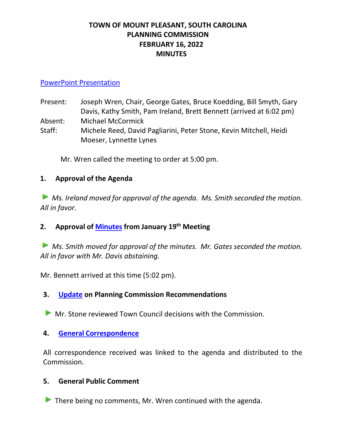# **TOWN OF MOUNT PLEASANT, SOUTH CAROLINA PLANNING COMMISSION FEBRUARY 16, 2022 MINUTES**

## [PowerPoint Presentation](https://www.tompsc.com/DocumentCenter/View/40724/02162022-PCmmission-Presentation-)

Present: Joseph Wren, Chair, George Gates, Bruce Koedding, Bill Smyth, Gary Davis, Kathy Smith, Pam Ireland, Brett Bennett (arrived at 6:02 pm) Absent: Michael McCormick

Staff: Michele Reed, David Pagliarini, Peter Stone, Kevin Mitchell, Heidi Moeser, Lynnette Lynes

Mr. Wren called the meeting to order at 5:00 pm.

# **1. Approval of the Agenda**

*Ms. Ireland moved for approval of the agenda. Ms. Smith seconded the motion. All in favor.* 

**2. Approval of [Minutes](https://www.tompsc.com/DocumentCenter/View/40551/Plan-Comsn-min-19-Jan-2022_exppdf) from January 19 th Meeting**

*Ms. Smith moved for approval of the minutes. Mr. Gates seconded the motion. All in favor with Mr. Davis abstaining.* 

Mr. Bennett arrived at this time (5:02 pm).

**3. [Update](https://www.tompsc.com/DocumentCenter/View/40552/FEBRUARY-TOWN-COUNCIL-DECISIONS) on Planning Commission Recommendations**

**Mr. Stone reviewed Town Council decisions with the Commission.** 

### **4. General [Correspondence](https://www.tompsc.com/DocumentCenter/View/40553/General-Correspondence)**

All correspondence received was linked to the agenda and distributed to the Commission.

### **5. General Public Comment**

 $\blacktriangleright$  There being no comments, Mr. Wren continued with the agenda.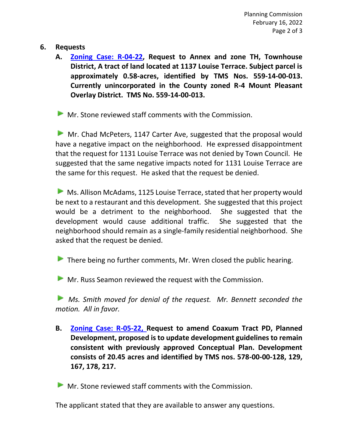## **6. Requests**

**A. [Zoning Case: R-04-22,](https://www.tompsc.com/DocumentCenter/View/40377/R-04-22-1137-Louise-Terrace-) Request to Annex and zone TH, Townhouse District, A tract of land located at 1137 Louise Terrace. Subject parcel is approximately 0.58-acres, identified by TMS Nos. 559-14-00-013. Currently unincorporated in the County zoned R-4 Mount Pleasant Overlay District. TMS No. 559-14-00-013.**

**Mr. Stone reviewed staff comments with the Commission.** 

Mr. Chad McPeters, 1147 Carter Ave, suggested that the proposal would have a negative impact on the neighborhood. He expressed disappointment that the request for 1131 Louise Terrace was not denied by Town Council. He suggested that the same negative impacts noted for 1131 Louise Terrace are the same for this request. He asked that the request be denied.

Ms. Allison McAdams, 1125 Louise Terrace, stated that her property would be next to a restaurant and this development. She suggested that this project would be a detriment to the neighborhood. She suggested that the development would cause additional traffic. She suggested that the neighborhood should remain as a single-family residential neighborhood. She asked that the request be denied.

There being no further comments, Mr. Wren closed the public hearing.

**Mr. Russ Seamon reviewed the request with the Commission.** 

**Ms.** Smith moved for denial of the request. Mr. Bennett seconded the *motion. All in favor.* 

**B. [Zoning Case: R-05-22,](https://www.tompsc.com/DocumentCenter/View/40378/R-05-22-Moores-Landing-) Request to amend Coaxum Tract PD, Planned Development, proposed is to update development guidelines to remain consistent with previously approved Conceptual Plan. Development consists of 20.45 acres and identified by TMS nos. 578-00-00-128, 129, 167, 178, 217.**

**Mr.** Stone reviewed staff comments with the Commission.

The applicant stated that they are available to answer any questions.